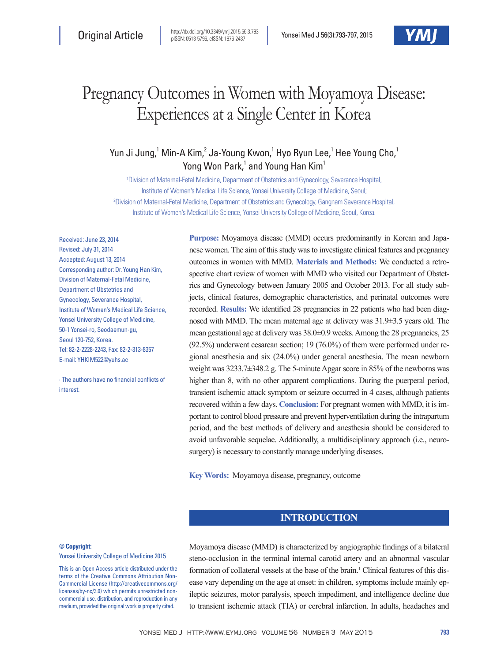# Pregnancy Outcomes in Women with Moyamoya Disease: Experiences at a Single Center in Korea

## Yun Ji Jung,<sup>1</sup> Min-A Kim,<sup>2</sup> Ja-Young Kwon,<sup>1</sup> Hyo Ryun Lee,<sup>1</sup> Hee Young Cho,<sup>1</sup> Yong Won Park,<sup>1</sup> and Young Han Kim<sup>1</sup>

1 Division of Maternal-Fetal Medicine, Department of Obstetrics and Gynecology, Severance Hospital, Institute of Women's Medical Life Science, Yonsei University College of Medicine, Seoul; 2 Division of Maternal-Fetal Medicine, Department of Obstetrics and Gynecology, Gangnam Severance Hospital, Institute of Women's Medical Life Science, Yonsei University College of Medicine, Seoul, Korea.

Received: June 23, 2014 Revised: July 31, 2014 Accepted: August 13, 2014 Corresponding author: Dr. Young Han Kim, Division of Maternal-Fetal Medicine, Department of Obstetrics and Gynecology, Severance Hospital, Institute of Women's Medical Life Science, Yonsei University College of Medicine, 50-1 Yonsei-ro, Seodaemun-gu, Seoul 120-752, Korea. Tel: 82-2-2228-2243, Fax: 82-2-313-8357 E-mail: YHKIM522@yuhs.ac

∙ The authors have no financial conflicts of interest.

**Purpose:** Moyamoya disease (MMD) occurs predominantly in Korean and Japanese women. The aim of this study was to investigate clinical features and pregnancy outcomes in women with MMD. **Materials and Methods:** We conducted a retrospective chart review of women with MMD who visited our Department of Obstetrics and Gynecology between January 2005 and October 2013. For all study subjects, clinical features, demographic characteristics, and perinatal outcomes were recorded. **Results:** We identified 28 pregnancies in 22 patients who had been diagnosed with MMD. The mean maternal age at delivery was 31.9±3.5 years old. The mean gestational age at delivery was 38.0±0.9 weeks. Among the 28 pregnancies, 25 (92.5%) underwent cesarean section; 19 (76.0%) of them were performed under regional anesthesia and six (24.0%) under general anesthesia. The mean newborn weight was 3233.7±348.2 g. The 5-minute Apgar score in 85% of the newborns was higher than 8, with no other apparent complications. During the puerperal period, transient ischemic attack symptom or seizure occurred in 4 cases, although patients recovered within a few days. **Conclusion:** For pregnant women with MMD, it is important to control blood pressure and prevent hyperventilation during the intrapartum period, and the best methods of delivery and anesthesia should be considered to avoid unfavorable sequelae. Additionally, a multidisciplinary approach (i.e., neurosurgery) is necessary to constantly manage underlying diseases.

**Key Words:** Moyamoya disease, pregnancy, outcome

## **INTRODUCTION**

### **© Copyright:**

Yonsei University College of Medicine 2015

This is an Open Access article distributed under the terms of the Creative Commons Attribution Non-Commercial License (http://creativecommons.org/ licenses/by-nc/3.0) which permits unrestricted noncommercial use, distribution, and reproduction in any medium, provided the original work is properly cited.

Moyamoya disease (MMD) is characterized by angiographic findings of a bilateral steno-occlusion in the terminal internal carotid artery and an abnormal vascular formation of collateral vessels at the base of the brain.<sup>1</sup> Clinical features of this disease vary depending on the age at onset: in children, symptoms include mainly epileptic seizures, motor paralysis, speech impediment, and intelligence decline due to transient ischemic attack (TIA) or cerebral infarction. In adults, headaches and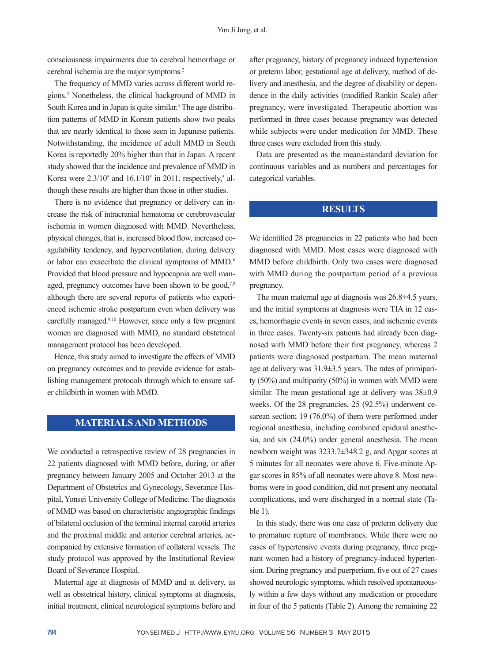consciousness impairments due to cerebral hemorrhage or cerebral ischemia are the major symptoms.2

The frequency of MMD varies across different world regions.3 Nonetheless, the clinical background of MMD in South Korea and in Japan is quite similar.<sup>4</sup> The age distribution patterns of MMD in Korean patients show two peaks that are nearly identical to those seen in Japanese patients. Notwithstanding, the incidence of adult MMD in South Korea is reportedly 20% higher than that in Japan. A recent study showed that the incidence and prevalence of MMD in Korea were  $2.3/10^5$  and  $16.1/10^5$  in 2011, respectively,<sup>5</sup> although these results are higher than those in other studies.

There is no evidence that pregnancy or delivery can increase the risk of intracranial hematoma or cerebrovascular ischemia in women diagnosed with MMD. Nevertheless, physical changes, that is, increased blood flow, increased coagulability tendency, and hyperventilation, during delivery or labor can exacerbate the clinical symptoms of MMD.<sup>6</sup> Provided that blood pressure and hypocapnia are well managed, pregnancy outcomes have been shown to be good,<sup>7,8</sup> although there are several reports of patients who experienced ischemic stroke postpartum even when delivery was carefully managed.9,10 However, since only a few pregnant women are diagnosed with MMD, no standard obstetrical management protocol has been developed.

Hence, this study aimed to investigate the effects of MMD on pregnancy outcomes and to provide evidence for establishing management protocols through which to ensure safer childbirth in women with MMD.

## **MATERIALS AND METHODS**

We conducted a retrospective review of 28 pregnancies in 22 patients diagnosed with MMD before, during, or after pregnancy between January 2005 and October 2013 at the Department of Obstetrics and Gynecology, Severance Hospital, Yonsei University College of Medicine. The diagnosis of MMD was based on characteristic angiographic findings of bilateral occlusion of the terminal internal carotid arteries and the proximal middle and anterior cerebral arteries, accompanied by extensive formation of collateral vessels. The study protocol was approved by the Institutional Review Board of Severance Hospital.

Maternal age at diagnosis of MMD and at delivery, as well as obstetrical history, clinical symptoms at diagnosis, initial treatment, clinical neurological symptoms before and

after pregnancy, history of pregnancy induced hypertension or preterm labor, gestational age at delivery, method of delivery and anesthesia, and the degree of disability or dependence in the daily activities (modified Rankin Scale) after pregnancy, were investigated. Therapeutic abortion was performed in three cases because pregnancy was detected while subjects were under medication for MMD. These three cases were excluded from this study.

Data are presented as the mean±standard deviation for continuous variables and as numbers and percentages for categorical variables.

## **RESULTS**

We identified 28 pregnancies in 22 patients who had been diagnosed with MMD. Most cases were diagnosed with MMD before childbirth. Only two cases were diagnosed with MMD during the postpartum period of a previous pregnancy.

The mean maternal age at diagnosis was 26.8±4.5 years, and the initial symptoms at diagnosis were TIA in 12 cases, hemorrhagic events in seven cases, and ischemic events in three cases. Twenty-six patients had already been diagnosed with MMD before their first pregnancy, whereas 2 patients were diagnosed postpartum. The mean maternal age at delivery was 31.9±3.5 years. The rates of primiparity (50%) and multiparity (50%) in women with MMD were similar. The mean gestational age at delivery was  $38\pm0.9$ weeks. Of the 28 pregnancies, 25 (92.5%) underwent cesarean section; 19 (76.0%) of them were performed under regional anesthesia, including combined epidural anesthesia, and six (24.0%) under general anesthesia. The mean newborn weight was 3233.7±348.2 g, and Apgar scores at 5 minutes for all neonates were above 6. Five-minute Apgar scores in 85% of all neonates were above 8. Most newborns were in good condition, did not present any neonatal complications, and were discharged in a normal state (Table 1).

In this study, there was one case of preterm delivery due to premature rupture of membranes. While there were no cases of hypertensive events during pregnancy, three pregnant women had a history of pregnancy-induced hypertension. During pregnancy and puerperium, five out of 27 cases showed neurologic symptoms, which resolved spontaneously within a few days without any medication or procedure in four of the 5 patients (Table 2). Among the remaining 22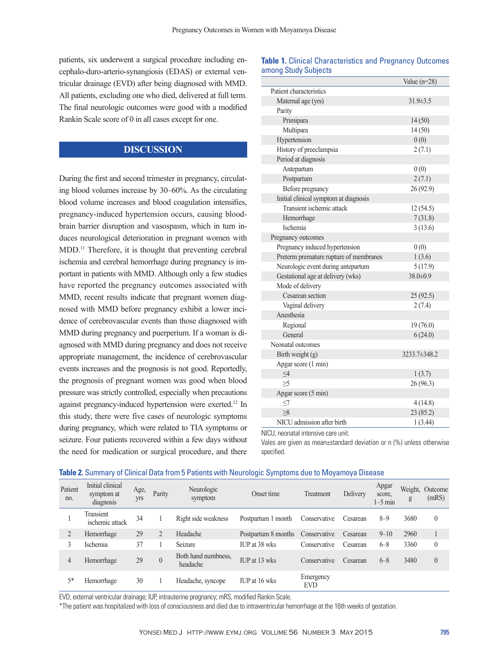patients, six underwent a surgical procedure including encephalo-duro-arterio-synangiosis (EDAS) or external ventricular drainage (EVD) after being diagnosed with MMD. All patients, excluding one who died, delivered at full term. The final neurologic outcomes were good with a modified Rankin Scale score of 0 in all cases except for one.

## **DISCUSSION**

During the first and second trimester in pregnancy, circulating blood volumes increase by 30‒60%. As the circulating blood volume increases and blood coagulation intensifies, pregnancy-induced hypertension occurs, causing bloodbrain barrier disruption and vasospasm, which in turn induces neurological deterioration in pregnant women with MDD.<sup>11</sup> Therefore, it is thought that preventing cerebral ischemia and cerebral hemorrhage during pregnancy is important in patients with MMD. Although only a few studies have reported the pregnancy outcomes associated with MMD, recent results indicate that pregnant women diagnosed with MMD before pregnancy exhibit a lower incidence of cerebrovascular events than those diagnosed with MMD during pregnancy and puerperium. If a woman is diagnosed with MMD during pregnancy and does not receive appropriate management, the incidence of cerebrovascular events increases and the prognosis is not good. Reportedly, the prognosis of pregnant women was good when blood pressure was strictly controlled, especially when precautions against pregnancy-induced hypertension were exerted.12 In this study, there were five cases of neurologic symptoms during pregnancy, which were related to TIA symptoms or seizure. Four patients recovered within a few days without the need for medication or surgical procedure, and there

**Table 1.** Clinical Characteristics and Pregnancy Outcomes among Study Subjects

|                                        | Value $(n=28)$ |
|----------------------------------------|----------------|
| Patient characteristics                |                |
| Maternal age (yrs)                     | $31.9 \pm 3.5$ |
| Parity                                 |                |
| Primipara                              | 14(50)         |
| Multipara                              | 14(50)         |
| Hypertension                           | 0(0)           |
| History of preeclampsia                | 2(7.1)         |
| Period at diagnosis                    |                |
| Antepartum                             | 0(0)           |
| Postpartum                             | 2(7.1)         |
| Before pregnancy                       | 26 (92.9)      |
| Initial clinical symptom at diagnosis  |                |
| Transient ischemic attack              | 12(54.5)       |
| Hemorrhage                             | 7(31.8)        |
| Ischemia                               | 3(13.6)        |
| Pregnancy outcomes                     |                |
| Pregnancy induced hypertension         | 0(0)           |
| Preterm premature rupture of membranes | 1(3.6)         |
| Neurologic event during antepartum     | 5(17.9)        |
| Gestational age at delivery (wks)      | 38.0±0.9       |
| Mode of delivery                       |                |
| Cesarean section                       | 25 (92.5)      |
| Vaginal delivery                       | 2(7.4)         |
| Anesthesia                             |                |
| Regional                               | 19 (76.0)      |
| General                                | 6(24.0)        |
| Neonatal outcomes                      |                |
| Birth weight (g)                       | 3233.7±348.2   |
| Apgar score (1 min)                    |                |
| $\leq 4$                               | 1(3.7)         |
| >5                                     | 26 (96.3)      |
| Apgar score (5 min)                    |                |
| $\leq$ 7                               | 4(14.8)        |
| >8                                     | 23 (85.2)      |
| NICU admission after birth             | 1(3.44)        |

NICU, neonatal intensive care unit.

Vales are given as mean±standard deviation or n (%) unless otherwise specified.

| Patient<br>no. | Initial clinical<br>symptom at<br>diagnosis | Age,<br><b>VIS</b> | Parity   | Neurologic<br>symptom           | Onset time          | Treatment               | Delivery | Apgar<br>score,<br>$1-5$ min | Weight,<br>g | Outcome<br>(mRS) |
|----------------|---------------------------------------------|--------------------|----------|---------------------------------|---------------------|-------------------------|----------|------------------------------|--------------|------------------|
|                | Transient<br>ischemic attack                | 34                 |          | Right side weakness             | Postpartum 1 month  | Conservative            | Cesarean | $8 - 9$                      | 3680         | $\theta$         |
| $\overline{2}$ | Hemorrhage                                  | 29                 |          | Headache                        | Postpartum 8 months | Conservative            | Cesarean | $9 - 10$                     | 2960         |                  |
|                | <i>Ischemia</i>                             | 37                 |          | Seizure                         | II IP at 38 wks     | Conservative            | Cesarean | $6 - 8$                      | 3360         | $\theta$         |
| 4              | Hemorrhage                                  | 29                 | $\theta$ | Both hand numbness.<br>headache | $\Pi$ IP at 13 wks  | Conservative            | Cesarean | $6 - 8$                      | 3480         | $\theta$         |
| 5*             | Hemorrhage                                  | 30                 |          | Headache, syncope               | $\Pi$ P at 16 wks   | Emergency<br><b>EVD</b> |          |                              |              |                  |

**Table 2.** Summary of Clinical Data from 5 Patients with Neurologic Symptoms due to Moyamoya Disease

EVD, external ventricular drainage; IUP, intrauterine pregnancy; mRS, modified Rankin Scale.

\*The patient was hospitalized with loss of consciousness and died due to intraventricular hemorrhage at the 16th weeks of gestation.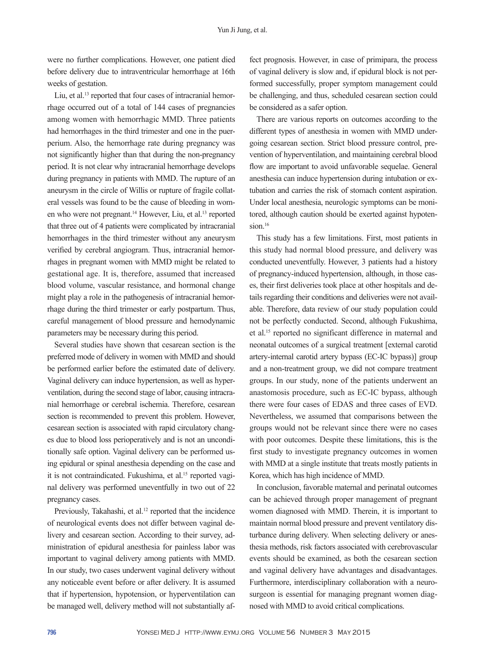were no further complications. However, one patient died before delivery due to intraventricular hemorrhage at 16th weeks of gestation.

Liu, et al.<sup>13</sup> reported that four cases of intracranial hemorrhage occurred out of a total of 144 cases of pregnancies among women with hemorrhagic MMD. Three patients had hemorrhages in the third trimester and one in the puerperium. Also, the hemorrhage rate during pregnancy was not significantly higher than that during the non-pregnancy period. It is not clear why intracranial hemorrhage develops during pregnancy in patients with MMD. The rupture of an aneurysm in the circle of Willis or rupture of fragile collateral vessels was found to be the cause of bleeding in women who were not pregnant.14 However, Liu, et al.13 reported that three out of 4 patients were complicated by intracranial hemorrhages in the third trimester without any aneurysm verified by cerebral angiogram. Thus, intracranial hemorrhages in pregnant women with MMD might be related to gestational age. It is, therefore, assumed that increased blood volume, vascular resistance, and hormonal change might play a role in the pathogenesis of intracranial hemorrhage during the third trimester or early postpartum. Thus, careful management of blood pressure and hemodynamic parameters may be necessary during this period.

Several studies have shown that cesarean section is the preferred mode of delivery in women with MMD and should be performed earlier before the estimated date of delivery. Vaginal delivery can induce hypertension, as well as hyperventilation, during the second stage of labor, causing intracranial hemorrhage or cerebral ischemia. Therefore, cesarean section is recommended to prevent this problem. However, cesarean section is associated with rapid circulatory changes due to blood loss perioperatively and is not an unconditionally safe option. Vaginal delivery can be performed using epidural or spinal anesthesia depending on the case and it is not contraindicated. Fukushima, et al.<sup>15</sup> reported vaginal delivery was performed uneventfully in two out of 22 pregnancy cases.

Previously, Takahashi, et al.<sup>12</sup> reported that the incidence of neurological events does not differ between vaginal delivery and cesarean section. According to their survey, administration of epidural anesthesia for painless labor was important to vaginal delivery among patients with MMD. In our study, two cases underwent vaginal delivery without any noticeable event before or after delivery. It is assumed that if hypertension, hypotension, or hyperventilation can be managed well, delivery method will not substantially af-

fect prognosis. However, in case of primipara, the process of vaginal delivery is slow and, if epidural block is not performed successfully, proper symptom management could be challenging, and thus, scheduled cesarean section could be considered as a safer option.

There are various reports on outcomes according to the different types of anesthesia in women with MMD undergoing cesarean section. Strict blood pressure control, prevention of hyperventilation, and maintaining cerebral blood flow are important to avoid unfavorable sequelae. General anesthesia can induce hypertension during intubation or extubation and carries the risk of stomach content aspiration. Under local anesthesia, neurologic symptoms can be monitored, although caution should be exerted against hypotension.<sup>16</sup>

This study has a few limitations. First, most patients in this study had normal blood pressure, and delivery was conducted uneventfully. However, 3 patients had a history of pregnancy-induced hypertension, although, in those cases, their first deliveries took place at other hospitals and details regarding their conditions and deliveries were not available. Therefore, data review of our study population could not be perfectly conducted. Second, although Fukushima, et al.15 reported no significant difference in maternal and neonatal outcomes of a surgical treatment [external carotid artery-internal carotid artery bypass (EC-IC bypass)] group and a non-treatment group, we did not compare treatment groups. In our study, none of the patients underwent an anastomosis procedure, such as EC-IC bypass, although there were four cases of EDAS and three cases of EVD. Nevertheless, we assumed that comparisons between the groups would not be relevant since there were no cases with poor outcomes. Despite these limitations, this is the first study to investigate pregnancy outcomes in women with MMD at a single institute that treats mostly patients in Korea, which has high incidence of MMD.

In conclusion, favorable maternal and perinatal outcomes can be achieved through proper management of pregnant women diagnosed with MMD. Therein, it is important to maintain normal blood pressure and prevent ventilatory disturbance during delivery. When selecting delivery or anesthesia methods, risk factors associated with cerebrovascular events should be examined, as both the cesarean section and vaginal delivery have advantages and disadvantages. Furthermore, interdisciplinary collaboration with a neurosurgeon is essential for managing pregnant women diagnosed with MMD to avoid critical complications.